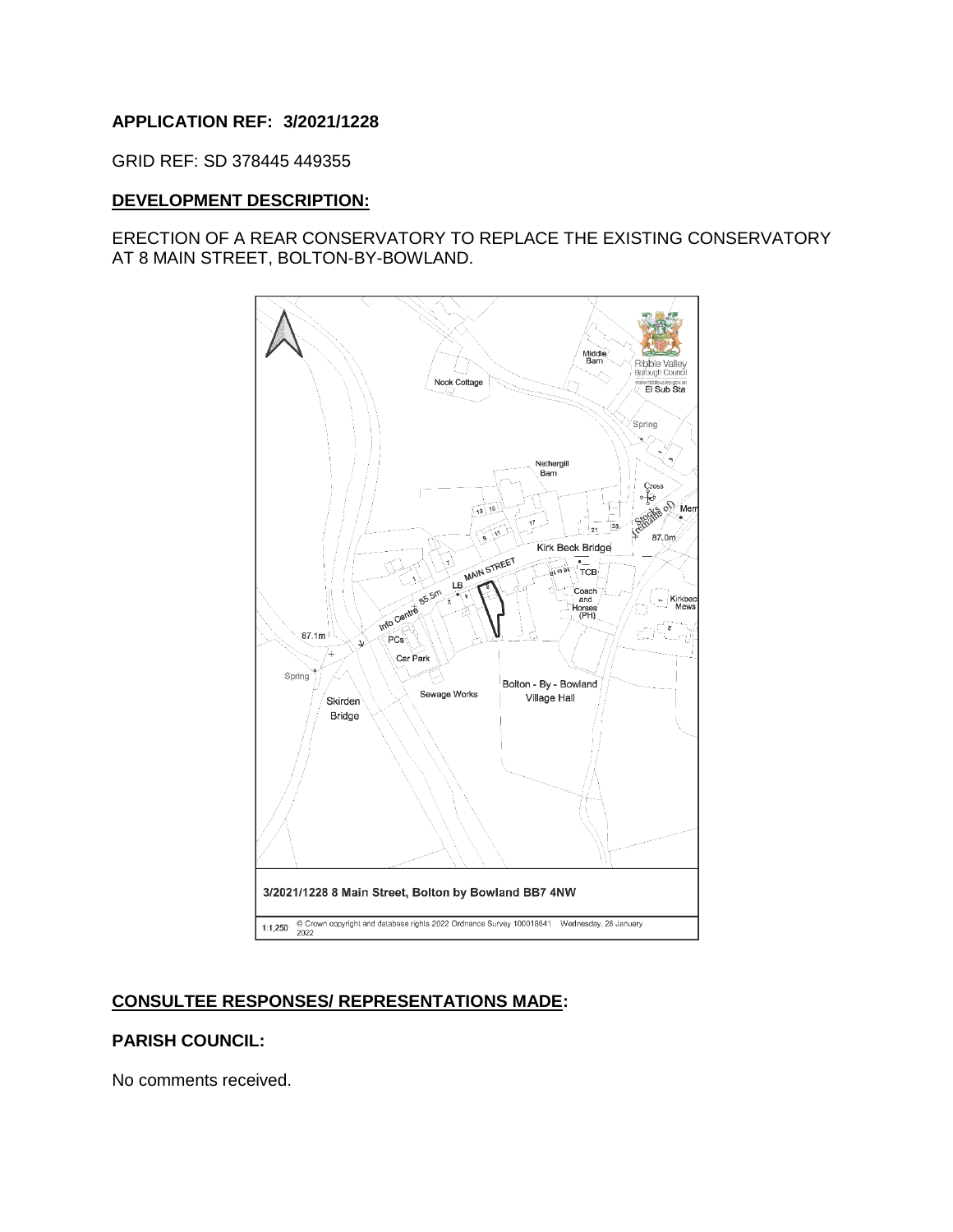### **APPLICATION REF: 3/2021/1228**

GRID REF: SD 378445 449355

#### **DEVELOPMENT DESCRIPTION:**

### ERECTION OF A REAR CONSERVATORY TO REPLACE THE EXISTING CONSERVATORY AT 8 MAIN STREET, BOLTON-BY-BOWLAND.



## **CONSULTEE RESPONSES/ REPRESENTATIONS MADE:**

#### **PARISH COUNCIL:**

No comments received.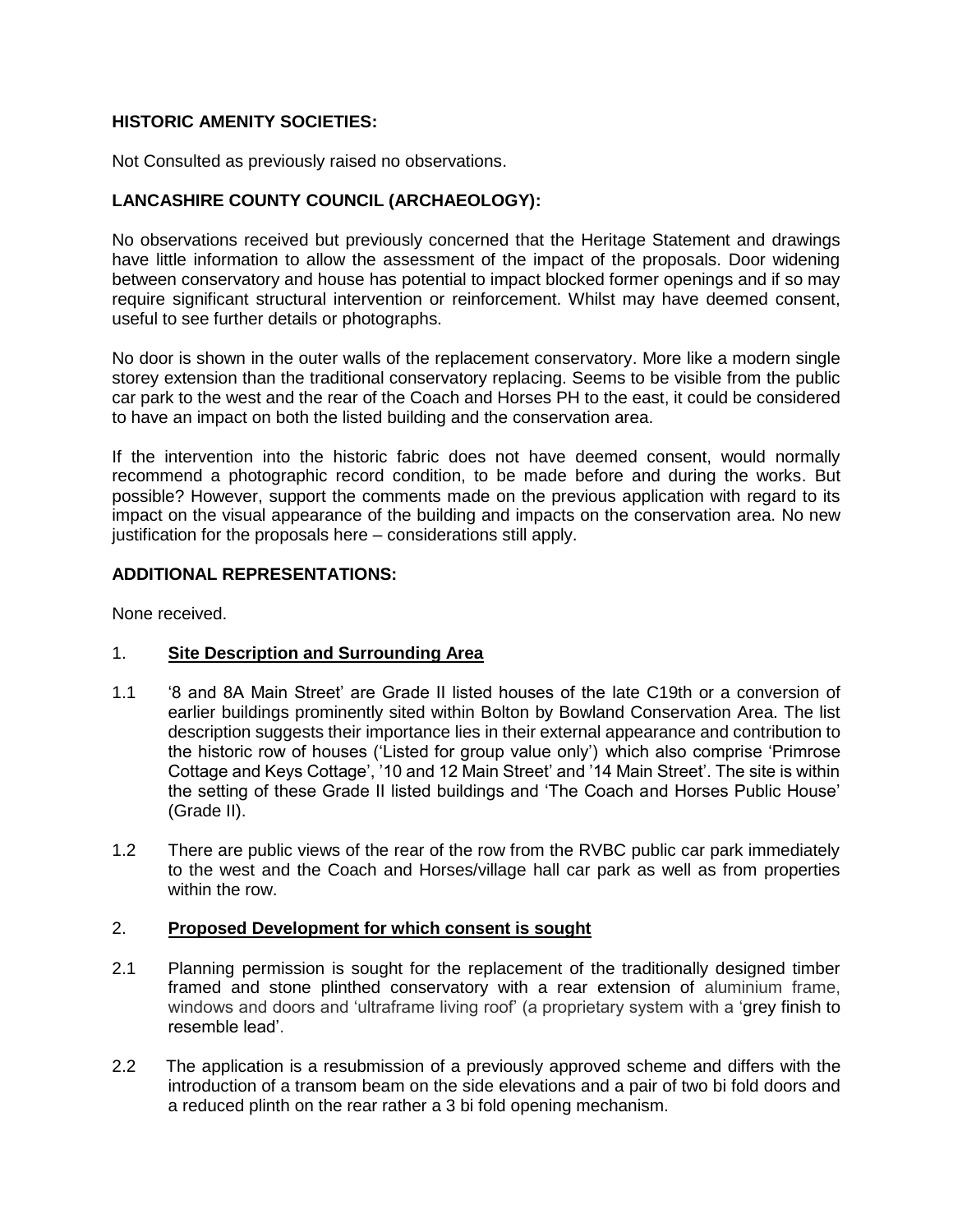# **HISTORIC AMENITY SOCIETIES:**

Not Consulted as previously raised no observations.

# **LANCASHIRE COUNTY COUNCIL (ARCHAEOLOGY):**

No observations received but previously concerned that the Heritage Statement and drawings have little information to allow the assessment of the impact of the proposals. Door widening between conservatory and house has potential to impact blocked former openings and if so may require significant structural intervention or reinforcement. Whilst may have deemed consent, useful to see further details or photographs.

No door is shown in the outer walls of the replacement conservatory. More like a modern single storey extension than the traditional conservatory replacing. Seems to be visible from the public car park to the west and the rear of the Coach and Horses PH to the east, it could be considered to have an impact on both the listed building and the conservation area.

If the intervention into the historic fabric does not have deemed consent, would normally recommend a photographic record condition, to be made before and during the works. But possible? However, support the comments made on the previous application with regard to its impact on the visual appearance of the building and impacts on the conservation area. No new justification for the proposals here – considerations still apply.

### **ADDITIONAL REPRESENTATIONS:**

None received.

### 1. **Site Description and Surrounding Area**

- 1.1 '8 and 8A Main Street' are Grade II listed houses of the late C19th or a conversion of earlier buildings prominently sited within Bolton by Bowland Conservation Area. The list description suggests their importance lies in their external appearance and contribution to the historic row of houses ('Listed for group value only') which also comprise 'Primrose Cottage and Keys Cottage', '10 and 12 Main Street' and '14 Main Street'. The site is within the setting of these Grade II listed buildings and 'The Coach and Horses Public House' (Grade II).
- 1.2 There are public views of the rear of the row from the RVBC public car park immediately to the west and the Coach and Horses/village hall car park as well as from properties within the row.

#### 2. **Proposed Development for which consent is sought**

- 2.1 Planning permission is sought for the replacement of the traditionally designed timber framed and stone plinthed conservatory with a rear extension of aluminium frame, windows and doors and 'ultraframe living roof' (a proprietary system with a 'grey finish to resemble lead'.
- 2.2 The application is a resubmission of a previously approved scheme and differs with the introduction of a transom beam on the side elevations and a pair of two bi fold doors and a reduced plinth on the rear rather a 3 bi fold opening mechanism.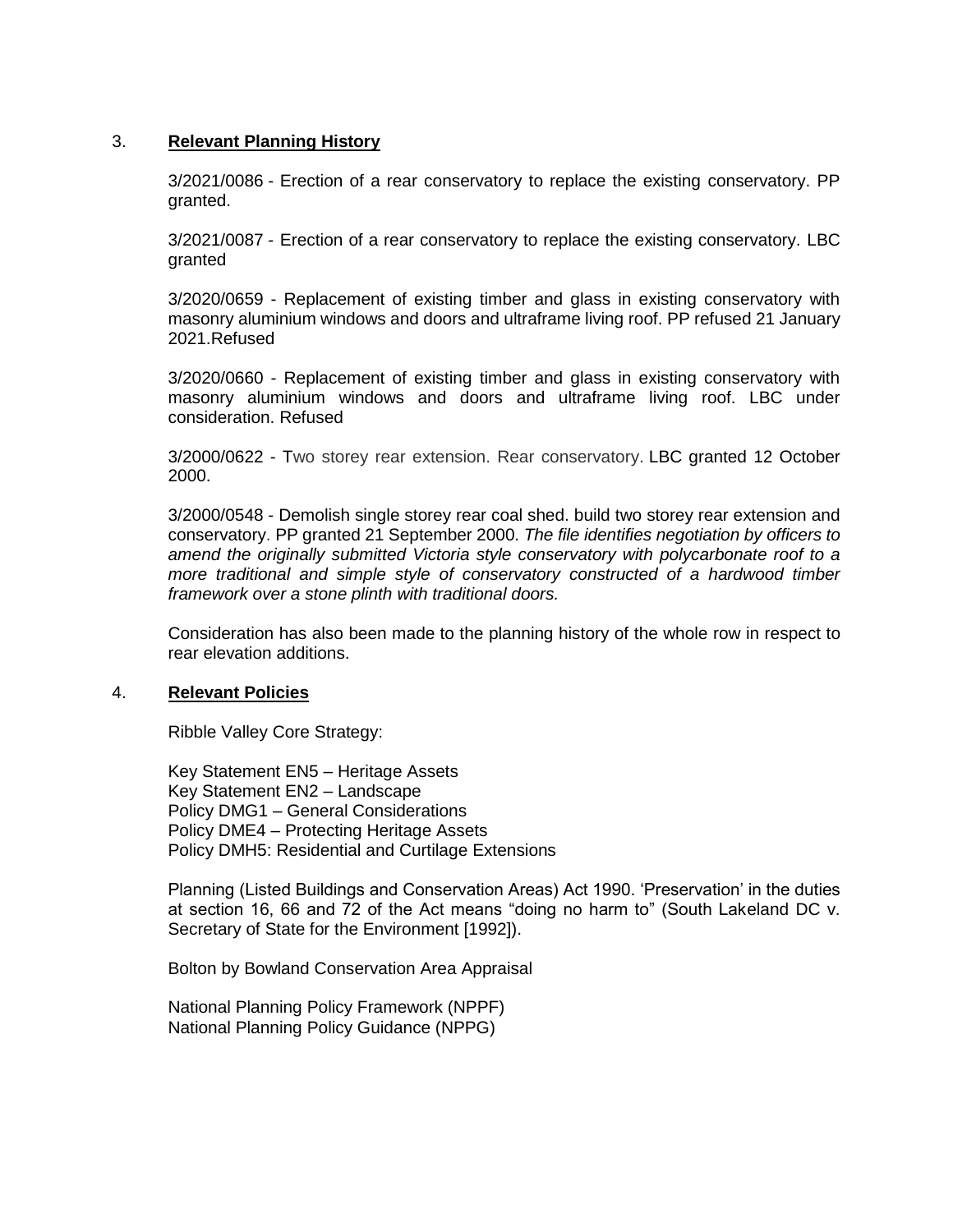### 3. **Relevant Planning History**

3/2021/0086 - Erection of a rear conservatory to replace the existing conservatory. PP granted.

3/2021/0087 - Erection of a rear conservatory to replace the existing conservatory. LBC granted

3/2020/0659 - Replacement of existing timber and glass in existing conservatory with masonry aluminium windows and doors and ultraframe living roof. PP refused 21 January 2021.Refused

3/2020/0660 - Replacement of existing timber and glass in existing conservatory with masonry aluminium windows and doors and ultraframe living roof. LBC under consideration. Refused

3/2000/0622 - Two storey rear extension. Rear conservatory. LBC granted 12 October 2000.

3/2000/0548 - Demolish single storey rear coal shed. build two storey rear extension and conservatory. PP granted 21 September 2000. *The file identifies negotiation by officers to amend the originally submitted Victoria style conservatory with polycarbonate roof to a more traditional and simple style of conservatory constructed of a hardwood timber framework over a stone plinth with traditional doors.*

Consideration has also been made to the planning history of the whole row in respect to rear elevation additions.

#### 4. **Relevant Policies**

Ribble Valley Core Strategy:

Key Statement EN5 – Heritage Assets Key Statement EN2 – Landscape Policy DMG1 – General Considerations Policy DME4 – Protecting Heritage Assets Policy DMH5: Residential and Curtilage Extensions

Planning (Listed Buildings and Conservation Areas) Act 1990. 'Preservation' in the duties at section 16, 66 and 72 of the Act means "doing no harm to" (South Lakeland DC v. Secretary of State for the Environment [1992]).

Bolton by Bowland Conservation Area Appraisal

National Planning Policy Framework (NPPF) National Planning Policy Guidance (NPPG)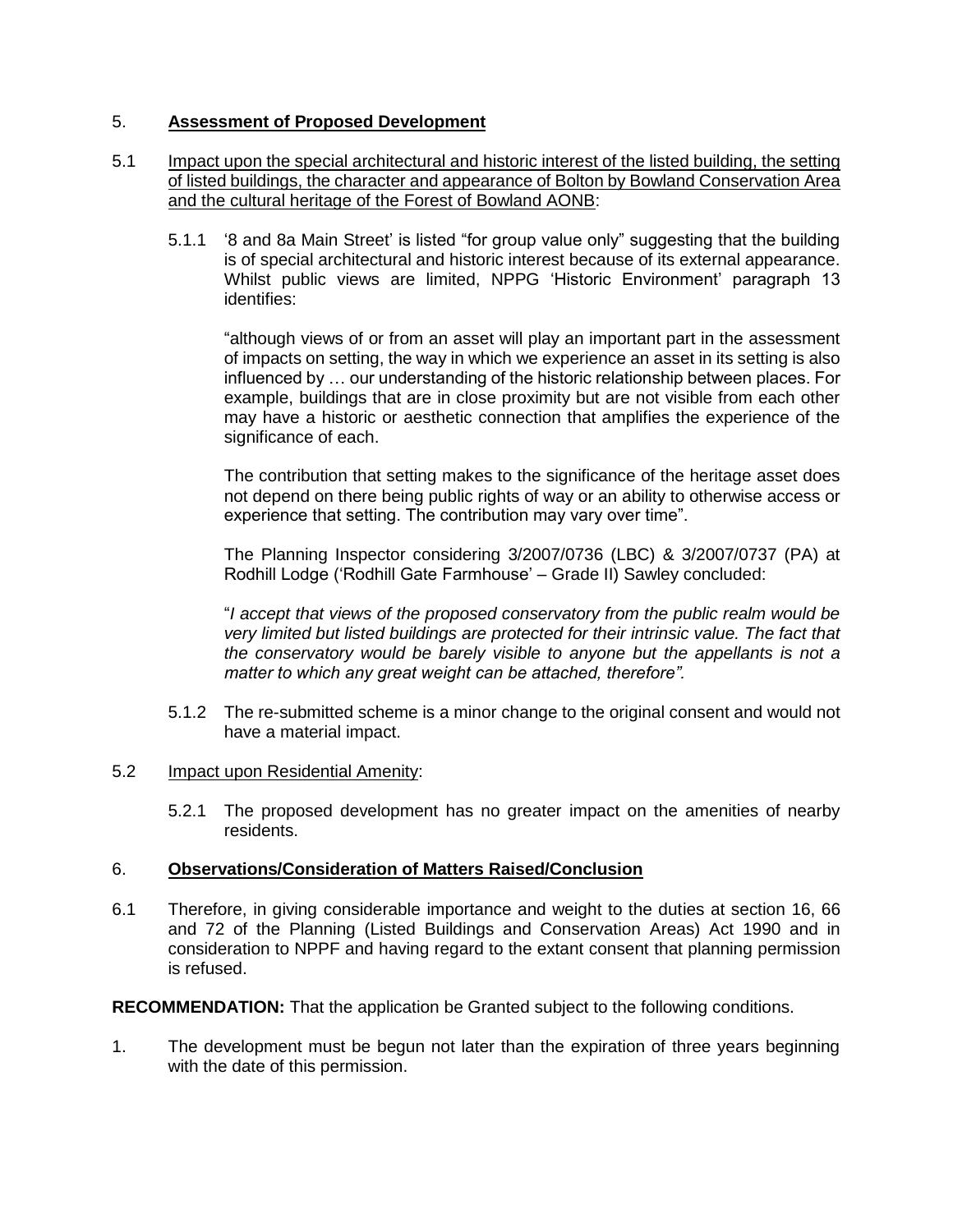# 5. **Assessment of Proposed Development**

## 5.1 Impact upon the special architectural and historic interest of the listed building, the setting of listed buildings, the character and appearance of Bolton by Bowland Conservation Area and the cultural heritage of the Forest of Bowland AONB:

5.1.1 '8 and 8a Main Street' is listed "for group value only" suggesting that the building is of special architectural and historic interest because of its external appearance. Whilst public views are limited, NPPG 'Historic Environment' paragraph 13 identifies:

"although views of or from an asset will play an important part in the assessment of impacts on setting, the way in which we experience an asset in its setting is also influenced by … our understanding of the historic relationship between places. For example, buildings that are in close proximity but are not visible from each other may have a historic or aesthetic connection that amplifies the experience of the significance of each.

The contribution that setting makes to the significance of the heritage asset does not depend on there being public rights of way or an ability to otherwise access or experience that setting. The contribution may vary over time".

The Planning Inspector considering 3/2007/0736 (LBC) & 3/2007/0737 (PA) at Rodhill Lodge ('Rodhill Gate Farmhouse' – Grade II) Sawley concluded:

"*I accept that views of the proposed conservatory from the public realm would be very limited but listed buildings are protected for their intrinsic value. The fact that the conservatory would be barely visible to anyone but the appellants is not a matter to which any great weight can be attached, therefore".*

- 5.1.2 The re-submitted scheme is a minor change to the original consent and would not have a material impact.
- 5.2 Impact upon Residential Amenity:
	- 5.2.1 The proposed development has no greater impact on the amenities of nearby residents.

### 6. **Observations/Consideration of Matters Raised/Conclusion**

6.1 Therefore, in giving considerable importance and weight to the duties at section 16, 66 and 72 of the Planning (Listed Buildings and Conservation Areas) Act 1990 and in consideration to NPPF and having regard to the extant consent that planning permission is refused.

**RECOMMENDATION:** That the application be Granted subject to the following conditions.

1. The development must be begun not later than the expiration of three years beginning with the date of this permission.